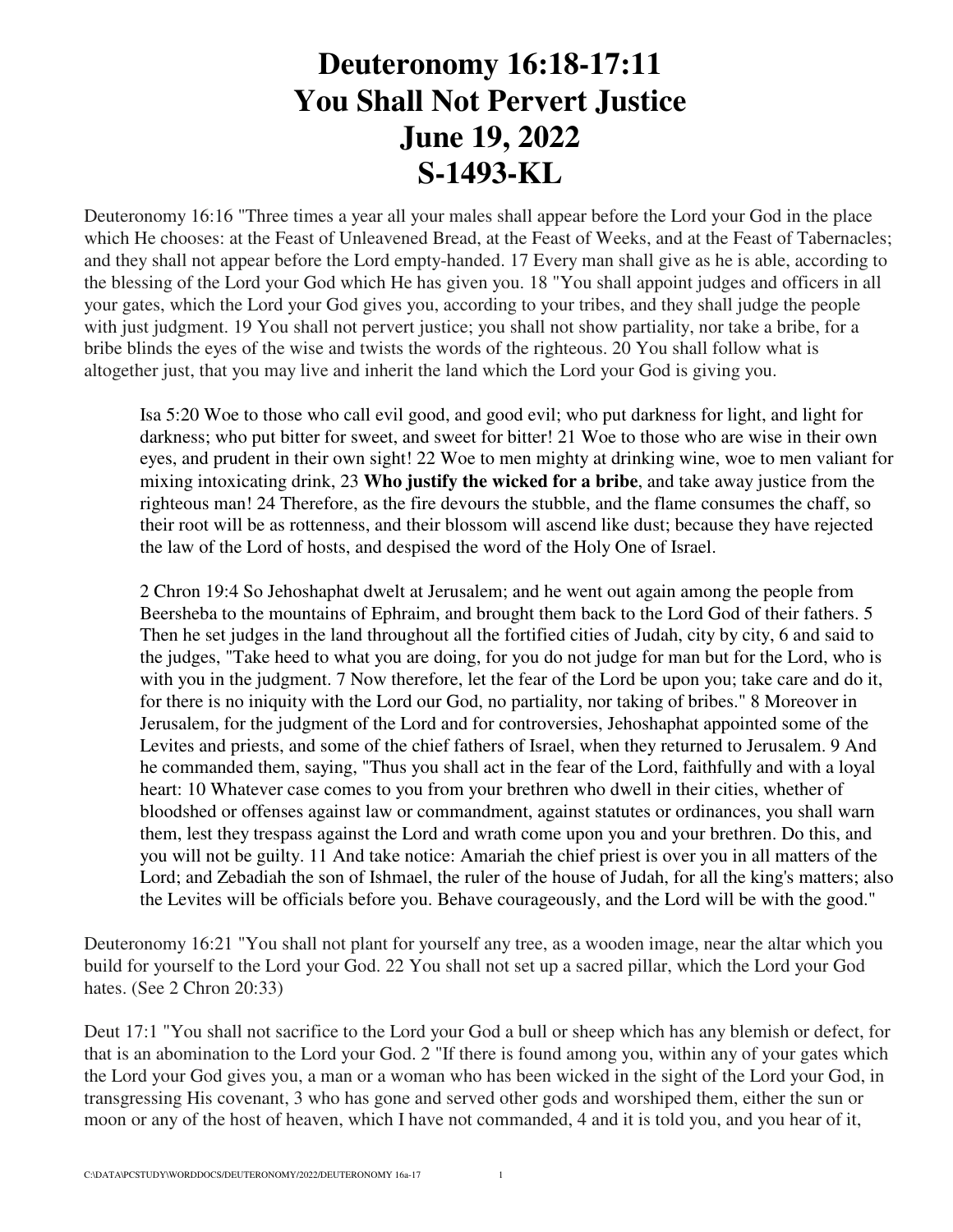## **Deuteronomy 16:18-17:11 You Shall Not Pervert Justice June 19, 2022 S-1493-KL**

Deuteronomy 16:16 "Three times a year all your males shall appear before the Lord your God in the place which He chooses: at the Feast of Unleavened Bread, at the Feast of Weeks, and at the Feast of Tabernacles; and they shall not appear before the Lord empty-handed. 17 Every man shall give as he is able, according to the blessing of the Lord your God which He has given you. 18 "You shall appoint judges and officers in all your gates, which the Lord your God gives you, according to your tribes, and they shall judge the people with just judgment. 19 You shall not pervert justice; you shall not show partiality, nor take a bribe, for a bribe blinds the eyes of the wise and twists the words of the righteous. 20 You shall follow what is altogether just, that you may live and inherit the land which the Lord your God is giving you.

Isa 5:20 Woe to those who call evil good, and good evil; who put darkness for light, and light for darkness; who put bitter for sweet, and sweet for bitter! 21 Woe to those who are wise in their own eyes, and prudent in their own sight! 22 Woe to men mighty at drinking wine, woe to men valiant for mixing intoxicating drink, 23 **Who justify the wicked for a bribe**, and take away justice from the righteous man! 24 Therefore, as the fire devours the stubble, and the flame consumes the chaff, so their root will be as rottenness, and their blossom will ascend like dust; because they have rejected the law of the Lord of hosts, and despised the word of the Holy One of Israel.

2 Chron 19:4 So Jehoshaphat dwelt at Jerusalem; and he went out again among the people from Beersheba to the mountains of Ephraim, and brought them back to the Lord God of their fathers. 5 Then he set judges in the land throughout all the fortified cities of Judah, city by city, 6 and said to the judges, "Take heed to what you are doing, for you do not judge for man but for the Lord, who is with you in the judgment. 7 Now therefore, let the fear of the Lord be upon you; take care and do it, for there is no iniquity with the Lord our God, no partiality, nor taking of bribes." 8 Moreover in Jerusalem, for the judgment of the Lord and for controversies, Jehoshaphat appointed some of the Levites and priests, and some of the chief fathers of Israel, when they returned to Jerusalem. 9 And he commanded them, saying, "Thus you shall act in the fear of the Lord, faithfully and with a loyal heart: 10 Whatever case comes to you from your brethren who dwell in their cities, whether of bloodshed or offenses against law or commandment, against statutes or ordinances, you shall warn them, lest they trespass against the Lord and wrath come upon you and your brethren. Do this, and you will not be guilty. 11 And take notice: Amariah the chief priest is over you in all matters of the Lord; and Zebadiah the son of Ishmael, the ruler of the house of Judah, for all the king's matters; also the Levites will be officials before you. Behave courageously, and the Lord will be with the good."

Deuteronomy 16:21 "You shall not plant for yourself any tree, as a wooden image, near the altar which you build for yourself to the Lord your God. 22 You shall not set up a sacred pillar, which the Lord your God hates. (See 2 Chron 20:33)

Deut 17:1 "You shall not sacrifice to the Lord your God a bull or sheep which has any blemish or defect, for that is an abomination to the Lord your God. 2 "If there is found among you, within any of your gates which the Lord your God gives you, a man or a woman who has been wicked in the sight of the Lord your God, in transgressing His covenant, 3 who has gone and served other gods and worshiped them, either the sun or moon or any of the host of heaven, which I have not commanded, 4 and it is told you, and you hear of it,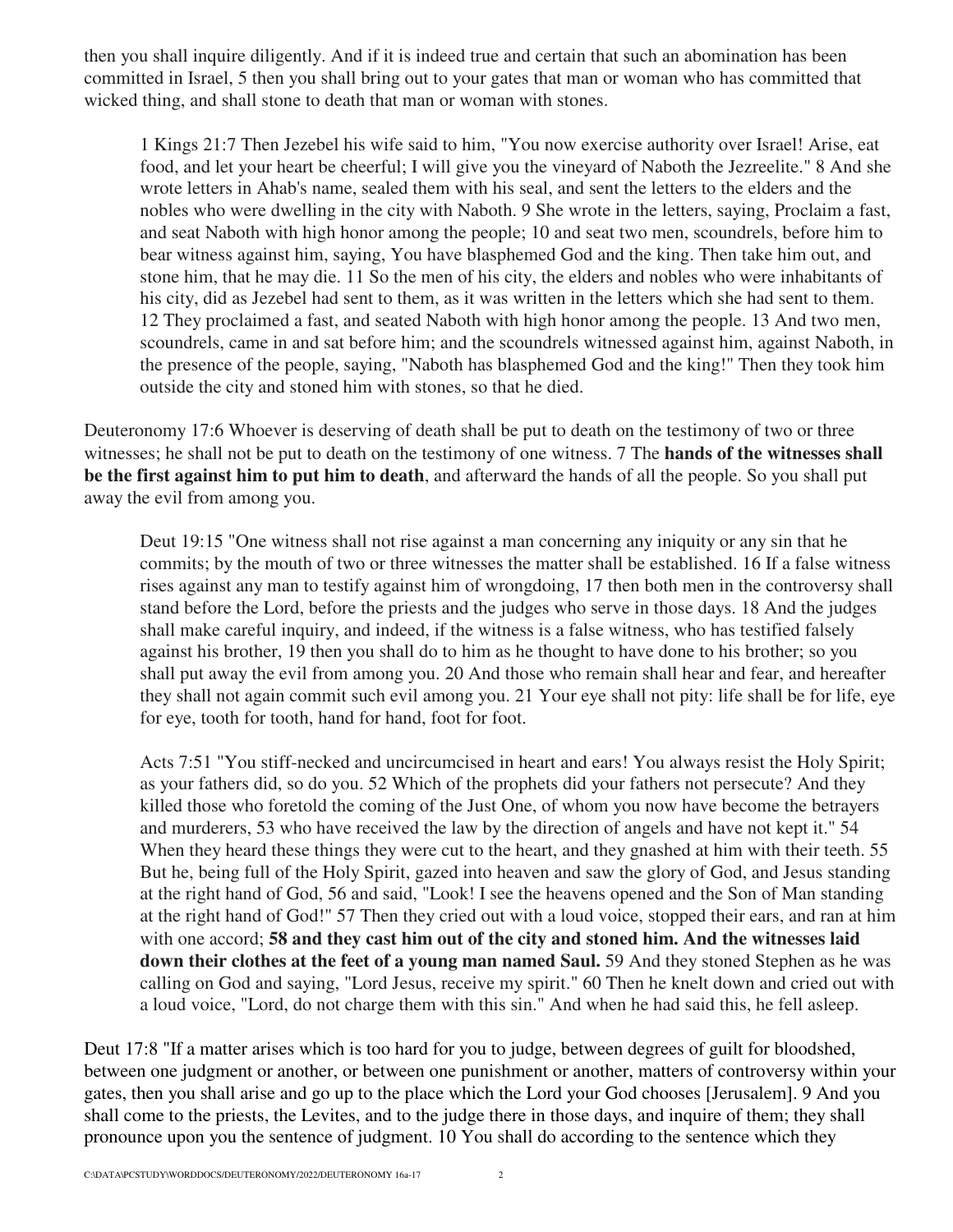then you shall inquire diligently. And if it is indeed true and certain that such an abomination has been committed in Israel, 5 then you shall bring out to your gates that man or woman who has committed that wicked thing, and shall stone to death that man or woman with stones.

1 Kings 21:7 Then Jezebel his wife said to him, "You now exercise authority over Israel! Arise, eat food, and let your heart be cheerful; I will give you the vineyard of Naboth the Jezreelite." 8 And she wrote letters in Ahab's name, sealed them with his seal, and sent the letters to the elders and the nobles who were dwelling in the city with Naboth. 9 She wrote in the letters, saying, Proclaim a fast, and seat Naboth with high honor among the people; 10 and seat two men, scoundrels, before him to bear witness against him, saying, You have blasphemed God and the king. Then take him out, and stone him, that he may die. 11 So the men of his city, the elders and nobles who were inhabitants of his city, did as Jezebel had sent to them, as it was written in the letters which she had sent to them. 12 They proclaimed a fast, and seated Naboth with high honor among the people. 13 And two men, scoundrels, came in and sat before him; and the scoundrels witnessed against him, against Naboth, in the presence of the people, saying, "Naboth has blasphemed God and the king!" Then they took him outside the city and stoned him with stones, so that he died.

Deuteronomy 17:6 Whoever is deserving of death shall be put to death on the testimony of two or three witnesses; he shall not be put to death on the testimony of one witness. 7 The **hands of the witnesses shall be the first against him to put him to death**, and afterward the hands of all the people. So you shall put away the evil from among you.

Deut 19:15 "One witness shall not rise against a man concerning any iniquity or any sin that he commits; by the mouth of two or three witnesses the matter shall be established. 16 If a false witness rises against any man to testify against him of wrongdoing, 17 then both men in the controversy shall stand before the Lord, before the priests and the judges who serve in those days. 18 And the judges shall make careful inquiry, and indeed, if the witness is a false witness, who has testified falsely against his brother, 19 then you shall do to him as he thought to have done to his brother; so you shall put away the evil from among you. 20 And those who remain shall hear and fear, and hereafter they shall not again commit such evil among you. 21 Your eye shall not pity: life shall be for life, eye for eye, tooth for tooth, hand for hand, foot for foot.

Acts 7:51 "You stiff-necked and uncircumcised in heart and ears! You always resist the Holy Spirit; as your fathers did, so do you. 52 Which of the prophets did your fathers not persecute? And they killed those who foretold the coming of the Just One, of whom you now have become the betrayers and murderers, 53 who have received the law by the direction of angels and have not kept it." 54 When they heard these things they were cut to the heart, and they gnashed at him with their teeth. 55 But he, being full of the Holy Spirit, gazed into heaven and saw the glory of God, and Jesus standing at the right hand of God, 56 and said, "Look! I see the heavens opened and the Son of Man standing at the right hand of God!" 57 Then they cried out with a loud voice, stopped their ears, and ran at him with one accord; **58 and they cast him out of the city and stoned him. And the witnesses laid down their clothes at the feet of a young man named Saul.** 59 And they stoned Stephen as he was calling on God and saying, "Lord Jesus, receive my spirit." 60 Then he knelt down and cried out with a loud voice, "Lord, do not charge them with this sin." And when he had said this, he fell asleep.

Deut 17:8 "If a matter arises which is too hard for you to judge, between degrees of guilt for bloodshed, between one judgment or another, or between one punishment or another, matters of controversy within your gates, then you shall arise and go up to the place which the Lord your God chooses [Jerusalem]. 9 And you shall come to the priests, the Levites, and to the judge there in those days, and inquire of them; they shall pronounce upon you the sentence of judgment. 10 You shall do according to the sentence which they